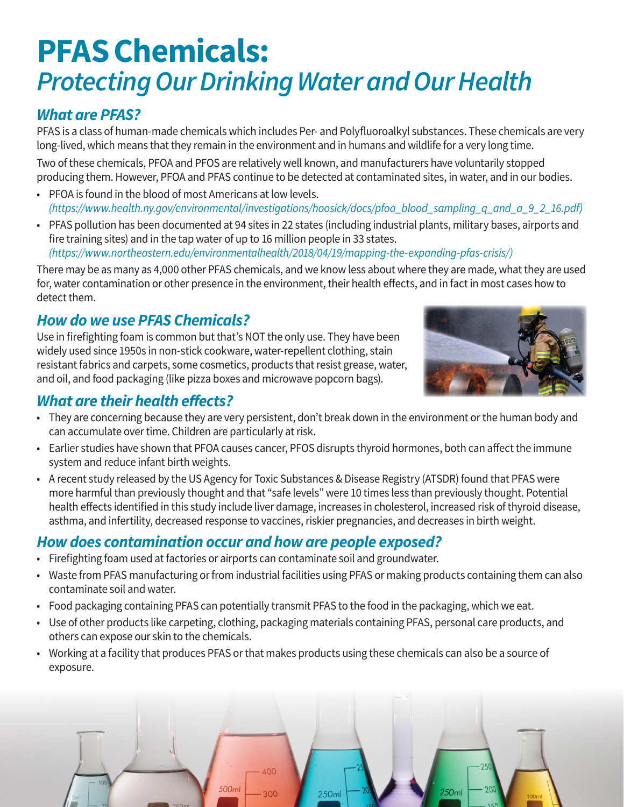# **PFAS Chemicals:** *Protecting Our Drinking Water and Our Health*

## *What are PFAS?*

PFAS is a class of human-made chemicals which includes Per- and Polyfluoroalkyl substances. These chemicals are very long-lived, which means that they remain in the environment and in humans and wildlife for a very long time.

Two of these chemicals, PFOA and PFOS are relatively well known, and manufacturers have voluntarily stopped producing them. However, PFOA and PFAS continue to be detected at contaminated sites, in water, and in our bodies.

- PFOA is found in the blood of most Americans at low levels. *(https://www.health.ny.gov/environmental/investigations/hoosick/docs/pfoa\_blood\_sampling\_q\_and\_a\_9\_2\_16.pdf)*
- PFAS pollution has been documented at 94 sites in 22 states (including industrial plants, military bases, airports and fire training sites) and in the tap water of up to 16 million people in 33 states. *(https://www.northeastern.edu/environmentalhealth/2018/04/19/mapping-the-expanding-pfas-crisis/)*

There may be as many as 4,000 other PFAS chemicals, and we know less about where they are made, what they are used for, water contamination or other presence in the environment, their health effects, and in fact in most cases how to detect them.

## *How do we use PFAS Chemicals?*

Use in firefighting foam is common but that's NOT the only use. They have been widely used since 1950s in non-stick cookware, water-repellent clothing, stain resistant fabrics and carpets, some cosmetics, products that resist grease, water, and oil, and food packaging (like pizza boxes and microwave popcorn bags).



#### *What are their health effects?*

- They are concerning because they are very persistent, don't break down in the environment or the human body and can accumulate over time. Children are particularly at risk.
- Earlier studies have shown that PFOA causes cancer, PFOS disrupts thyroid hormones, both can affect the immune system and reduce infant birth weights.
- A recent study released by the US Agency for Toxic Substances & Disease Registry (ATSDR) found that PFAS were more harmful than previously thought and that "safe levels" were 10 times less than previously thought. Potential health effects identified in this study include liver damage, increases in cholesterol, increased risk of thyroid disease, asthma, and infertility, decreased response to vaccines, riskier pregnancies, and decreases in birth weight.

#### *How does contamination occur and how are people exposed?*

- Firefighting foam used at factories or airports can contaminate soil and groundwater.
- Waste from PFAS manufacturing or from industrial facilities using PFAS or making products containing them can also contaminate soil and water.
- Food packaging containing PFAS can potentially transmit PFAS to the food in the packaging, which we eat.
- Use of other products like carpeting, clothing, packaging materials containing PFAS, personal care products, and others can expose our skin to the chemicals.
- Working at a facility that produces PFAS or that makes products using these chemicals can also be a source of exposure.